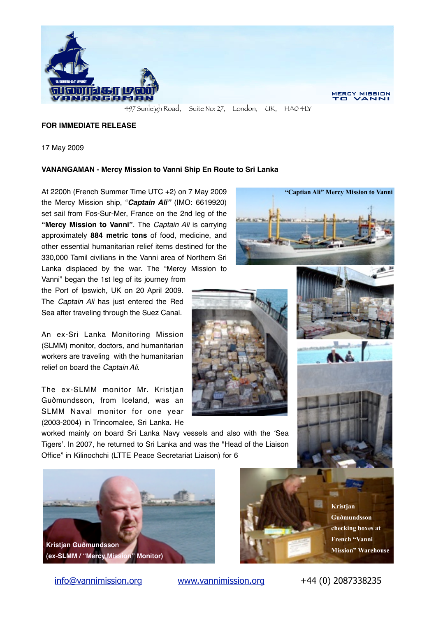

## **FOR IMMEDIATE RELEASE**

17 May 2009

## **VANANGAMAN - Mercy Mission to Vanni Ship En Route to Sri Lanka**

At 2200h (French Summer Time UTC +2) on 7 May 2009 the Mercy Mission ship, "*Captain Ali"* (IMO: 6619920) set sail from Fos-Sur-Mer, France on the 2nd leg of the **"Mercy Mission to Vanni"**. The *Captain Ali* is carrying approximately **884 metric tons** of food, medicine, and other essential humanitarian relief items destined for the 330,000 Tamil civilians in the Vanni area of Northern Sri Lanka displaced by the war. The "Mercy Mission to

Vanni" began the 1st leg of its journey from the Port of Ipswich, UK on 20 April 2009. The *Captain Ali* has just entered the Red Sea after traveling through the Suez Canal.

An ex-Sri Lanka Monitoring Mission (SLMM) monitor, doctors, and humanitarian workers are traveling with the humanitarian relief on board the *Captain Ali*.

The ex-SLMM monitor Mr. Kristjan Guðmundsson, from Iceland, was an SLMM Naval monitor for one year (2003-2004) in Trincomalee, Sri Lanka. He







worked mainly on board Sri Lanka Navy vessels and also with the ʻSea Tigers'. In 2007, he returned to Sri Lanka and was the "Head of the Liaison Office" in Kilinochchi (LTTE Peace Secretariat Liaison) for 6



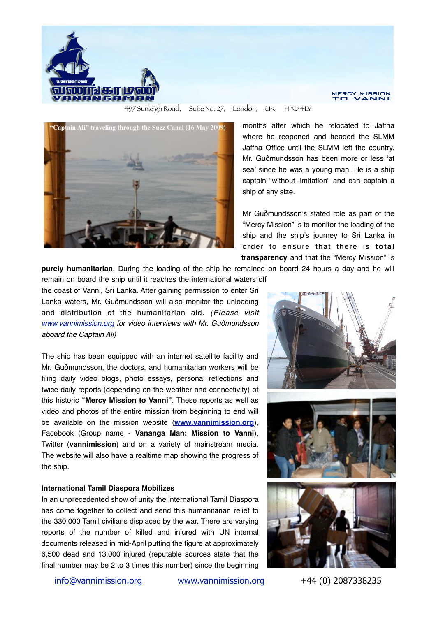

## MERCY MISSION

497 Sunleigh Road, Suite No: 27, London, UK, HA0 4LY



months after which he relocated to Jaffna where he reopened and headed the SLMM Jaffna Office until the SLMM left the country. Mr. Guðmundsson has been more or less ʻat sea' since he was a young man. He is a ship captain "without limitation" and can captain a ship of any size.

Mr Guðmundsson's stated role as part of the "Mercy Mission" is to monitor the loading of the ship and the ship's journey to Sri Lanka in order to ensure that there is **total transparency** and that the "Mercy Mission" is

**purely humanitarian**. During the loading of the ship he remained on board 24 hours a day and he will remain on board the ship until it reaches the international waters off

the coast of Vanni, Sri Lanka. After gaining permission to enter Sri Lanka waters, Mr. Guðmundsson will also monitor the unloading and distribution of the humanitarian aid. *(Please visit [www.vannimission.org](http://www.vannimission.org) for video interviews with Mr. Gu*ð*mundsson aboard the Captain Ali)*

The ship has been equipped with an internet satellite facility and Mr. Guðmundsson, the doctors, and humanitarian workers will be filing daily video blogs, photo essays, personal reflections and twice daily reports (depending on the weather and connectivity) of this historic **"Mercy Mission to Vanni"**. These reports as well as video and photos of the entire mission from beginning to end will be available on the mission website (**[www.vannimission.org](http://www.vannimission.org)**), Facebook (Group name - **Vananga Man: Mission to Vanni**), Twitter (**vannimission**) and on a variety of mainstream media. The website will also have a realtime map showing the progress of the ship.

## **International Tamil Diaspora Mobilizes**

In an unprecedented show of unity the international Tamil Diaspora has come together to collect and send this humanitarian relief to the 330,000 Tamil civilians displaced by the war. There are varying reports of the number of killed and injured with UN internal documents released in mid-April putting the figure at approximately 6,500 dead and 13,000 injured (reputable sources state that the final number may be 2 to 3 times this number) since the beginning

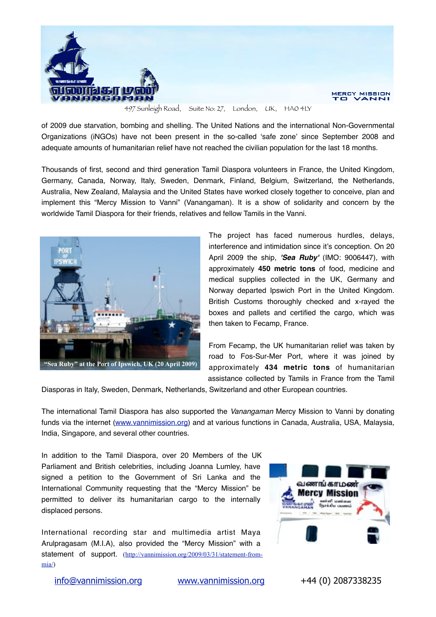

of 2009 due starvation, bombing and shelling. The United Nations and the international Non-Governmental Organizations (iNGOs) have not been present in the so-called ʻsafe zone' since September 2008 and adequate amounts of humanitarian relief have not reached the civilian population for the last 18 months.

Thousands of first, second and third generation Tamil Diaspora volunteers in France, the United Kingdom, Germany, Canada, Norway, Italy, Sweden, Denmark, Finland, Belgium, Switzerland, the Netherlands, Australia, New Zealand, Malaysia and the United States have worked closely together to conceive, plan and implement this "Mercy Mission to Vanni" (Vanangaman). It is a show of solidarity and concern by the worldwide Tamil Diaspora for their friends, relatives and fellow Tamils in the Vanni.



The project has faced numerous hurdles, delays, interference and intimidation since it's conception. On 20 April 2009 the ship, *'Sea Ruby'* (IMO: 9006447), with approximately **450 metric tons** of food, medicine and medical supplies collected in the UK, Germany and Norway departed Ipswich Port in the United Kingdom. British Customs thoroughly checked and x-rayed the boxes and pallets and certified the cargo, which was then taken to Fecamp, France.

From Fecamp, the UK humanitarian relief was taken by road to Fos-Sur-Mer Port, where it was joined by approximately **434 metric tons** of humanitarian assistance collected by Tamils in France from the Tamil

Diasporas in Italy, Sweden, Denmark, Netherlands, Switzerland and other European countries.

The international Tamil Diaspora has also supported the *Vanangaman* Mercy Mission to Vanni by donating funds via the internet [\(www.vannimission.org](http://www.vannimission.org)) and at various functions in Canada, Australia, USA, Malaysia, India, Singapore, and several other countries.

In addition to the Tamil Diaspora, over 20 Members of the UK Parliament and British celebrities, including Joanna Lumley, have signed a petition to the Government of Sri Lanka and the International Community requesting that the "Mercy Mission" be permitted to deliver its humanitarian cargo to the internally displaced persons.

International recording star and multimedia artist Maya Arulpragasam (M.I.A), also provided the "Mercy Mission" with a statement of support. ([http://vannimission.org/2009/03/31/statement-from](http://vannimission.org/2009/03/31/statement-from-mia/)[mia/\)](http://vannimission.org/2009/03/31/statement-from-mia/)